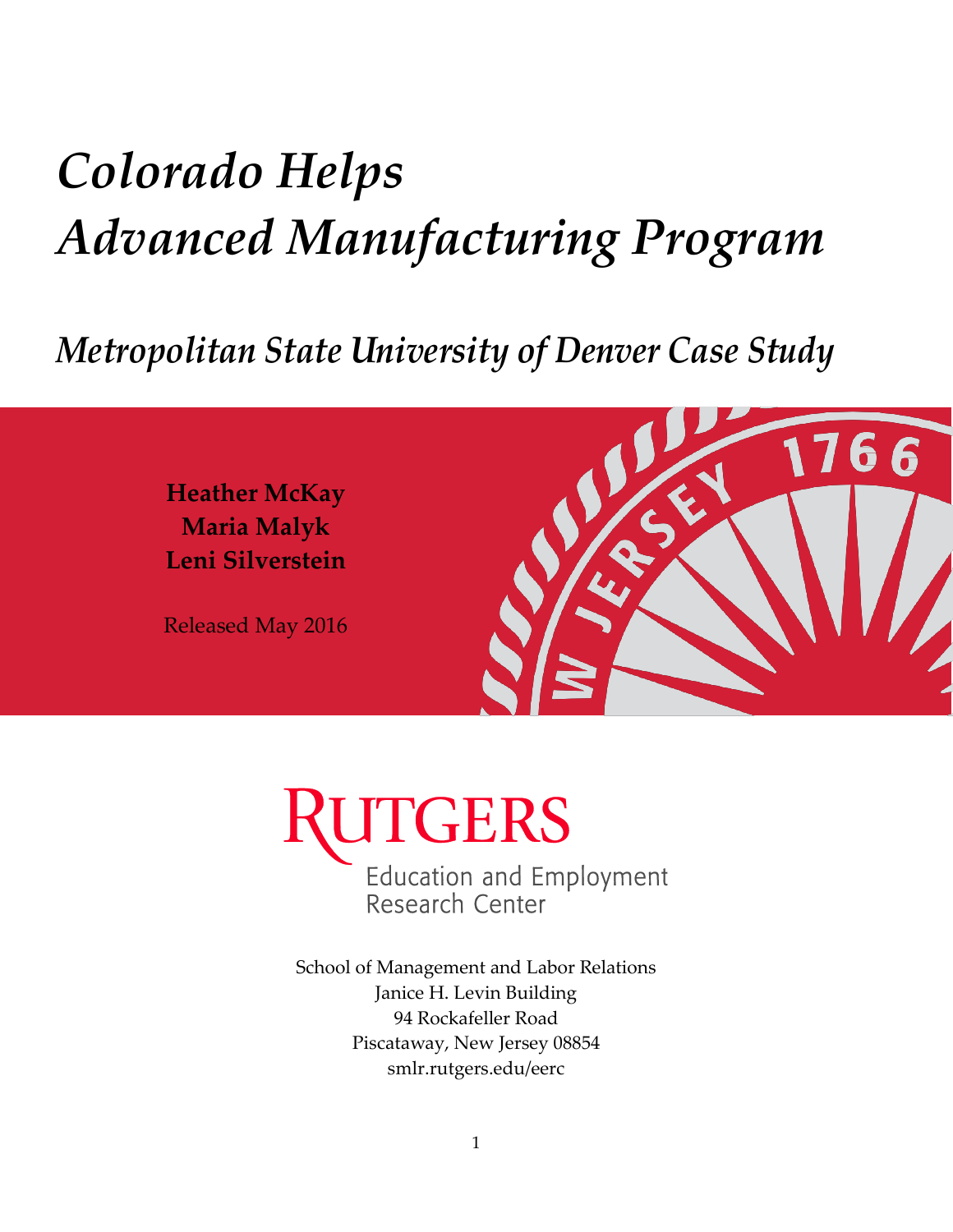# *Colorado Helps Advanced Manufacturing Program*

## *Metropolitan State University of Denver Case Study*

**Heather McKay Maria Malyk Leni Silverstein**

Released May 2016





School of Management and Labor Relations Janice H. Levin Building 94 Rockafeller Road Piscataway, New Jersey 08854 smlr.rutgers.edu/eerc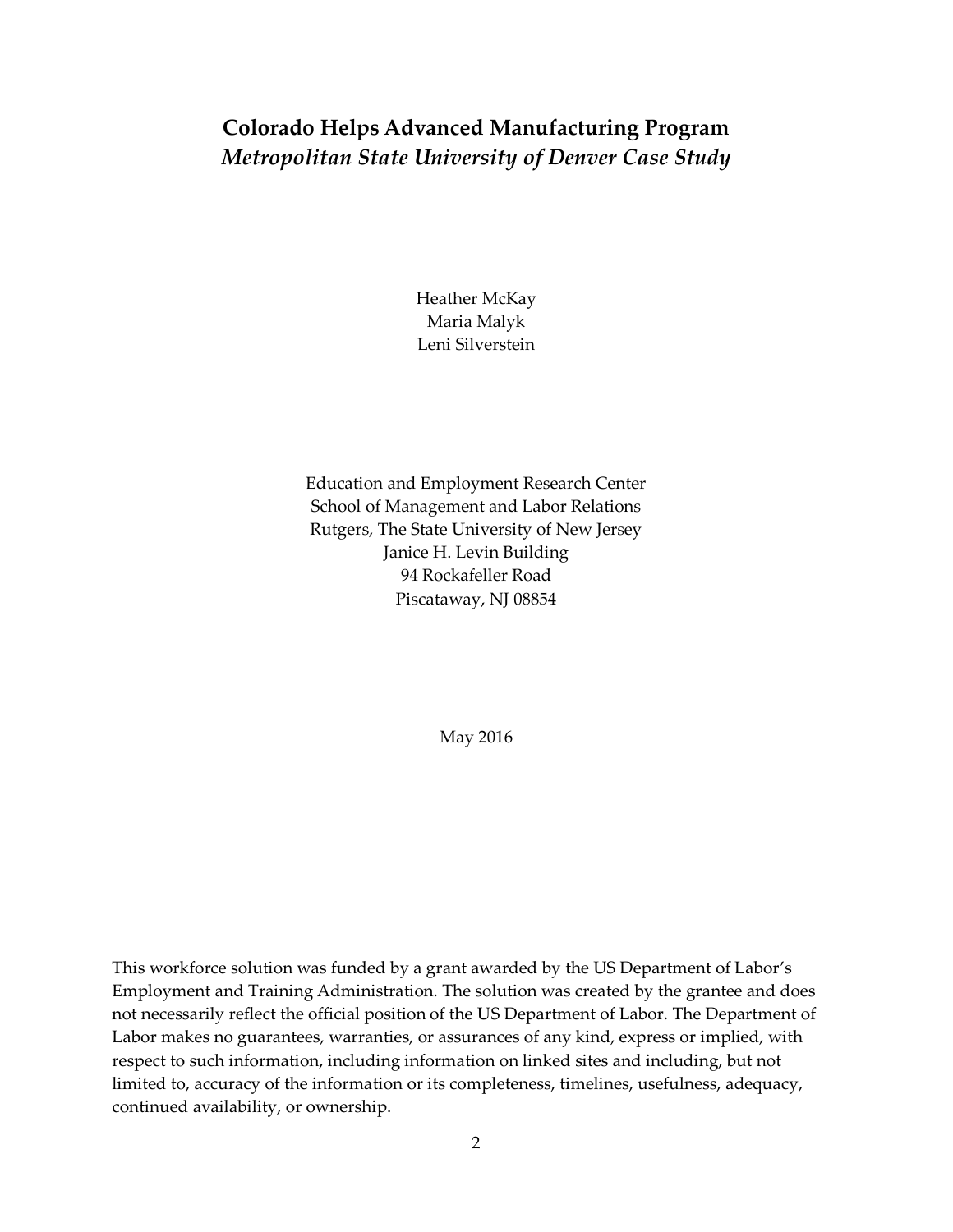### **Colorado Helps Advanced Manufacturing Program** *Metropolitan State University of Denver Case Study*

Heather McKay Maria Malyk Leni Silverstein

Education and Employment Research Center School of Management and Labor Relations Rutgers, The State University of New Jersey Janice H. Levin Building 94 Rockafeller Road Piscataway, NJ 08854

May 2016

This workforce solution was funded by a grant awarded by the US Department of Labor's Employment and Training Administration. The solution was created by the grantee and does not necessarily reflect the official position of the US Department of Labor. The Department of Labor makes no guarantees, warranties, or assurances of any kind, express or implied, with respect to such information, including information on linked sites and including, but not limited to, accuracy of the information or its completeness, timelines, usefulness, adequacy, continued availability, or ownership.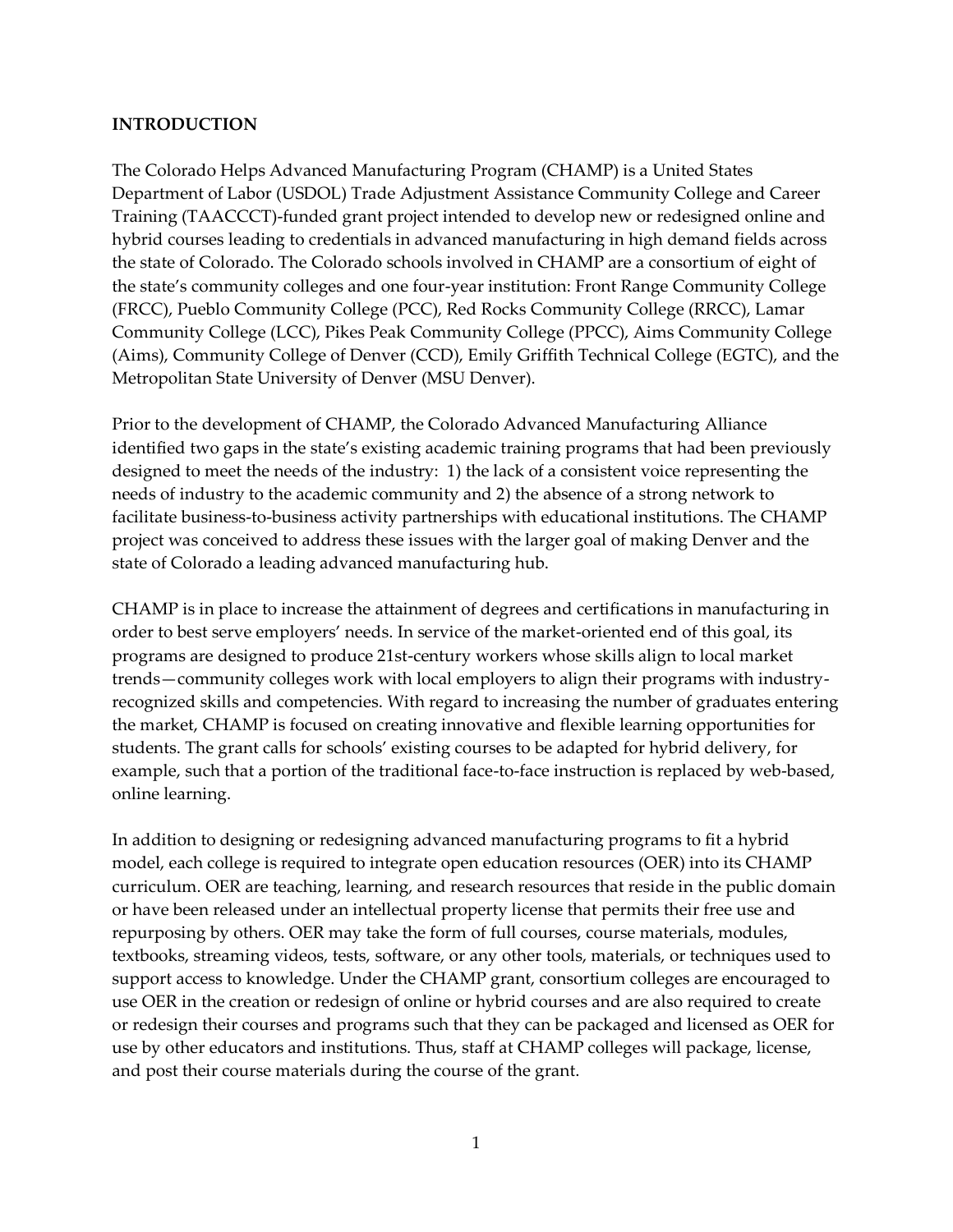#### **INTRODUCTION**

The Colorado Helps Advanced Manufacturing Program (CHAMP) is a United States Department of Labor (USDOL) Trade Adjustment Assistance Community College and Career Training (TAACCCT)-funded grant project intended to develop new or redesigned online and hybrid courses leading to credentials in advanced manufacturing in high demand fields across the state of Colorado. The Colorado schools involved in CHAMP are a consortium of eight of the state's community colleges and one four-year institution: Front Range Community College (FRCC), Pueblo Community College (PCC), Red Rocks Community College (RRCC), Lamar Community College (LCC), Pikes Peak Community College (PPCC), Aims Community College (Aims), Community College of Denver (CCD), Emily Griffith Technical College (EGTC), and the Metropolitan State University of Denver (MSU Denver).

Prior to the development of CHAMP, the Colorado Advanced Manufacturing Alliance identified two gaps in the state's existing academic training programs that had been previously designed to meet the needs of the industry: 1) the lack of a consistent voice representing the needs of industry to the academic community and 2) the absence of a strong network to facilitate business-to-business activity partnerships with educational institutions. The CHAMP project was conceived to address these issues with the larger goal of making Denver and the state of Colorado a leading advanced manufacturing hub.

CHAMP is in place to increase the attainment of degrees and certifications in manufacturing in order to best serve employers' needs. In service of the market-oriented end of this goal, its programs are designed to produce 21st-century workers whose skills align to local market trends—community colleges work with local employers to align their programs with industryrecognized skills and competencies. With regard to increasing the number of graduates entering the market, CHAMP is focused on creating innovative and flexible learning opportunities for students. The grant calls for schools' existing courses to be adapted for hybrid delivery, for example, such that a portion of the traditional face-to-face instruction is replaced by web-based, online learning.

In addition to designing or redesigning advanced manufacturing programs to fit a hybrid model, each college is required to integrate open education resources (OER) into its CHAMP curriculum. OER are teaching, learning, and research resources that reside in the public domain or have been released under an intellectual property license that permits their free use and repurposing by others. OER may take the form of full courses, course materials, modules, textbooks, streaming videos, tests, software, or any other tools, materials, or techniques used to support access to knowledge. Under the CHAMP grant, consortium colleges are encouraged to use OER in the creation or redesign of online or hybrid courses and are also required to create or redesign their courses and programs such that they can be packaged and licensed as OER for use by other educators and institutions. Thus, staff at CHAMP colleges will package, license, and post their course materials during the course of the grant.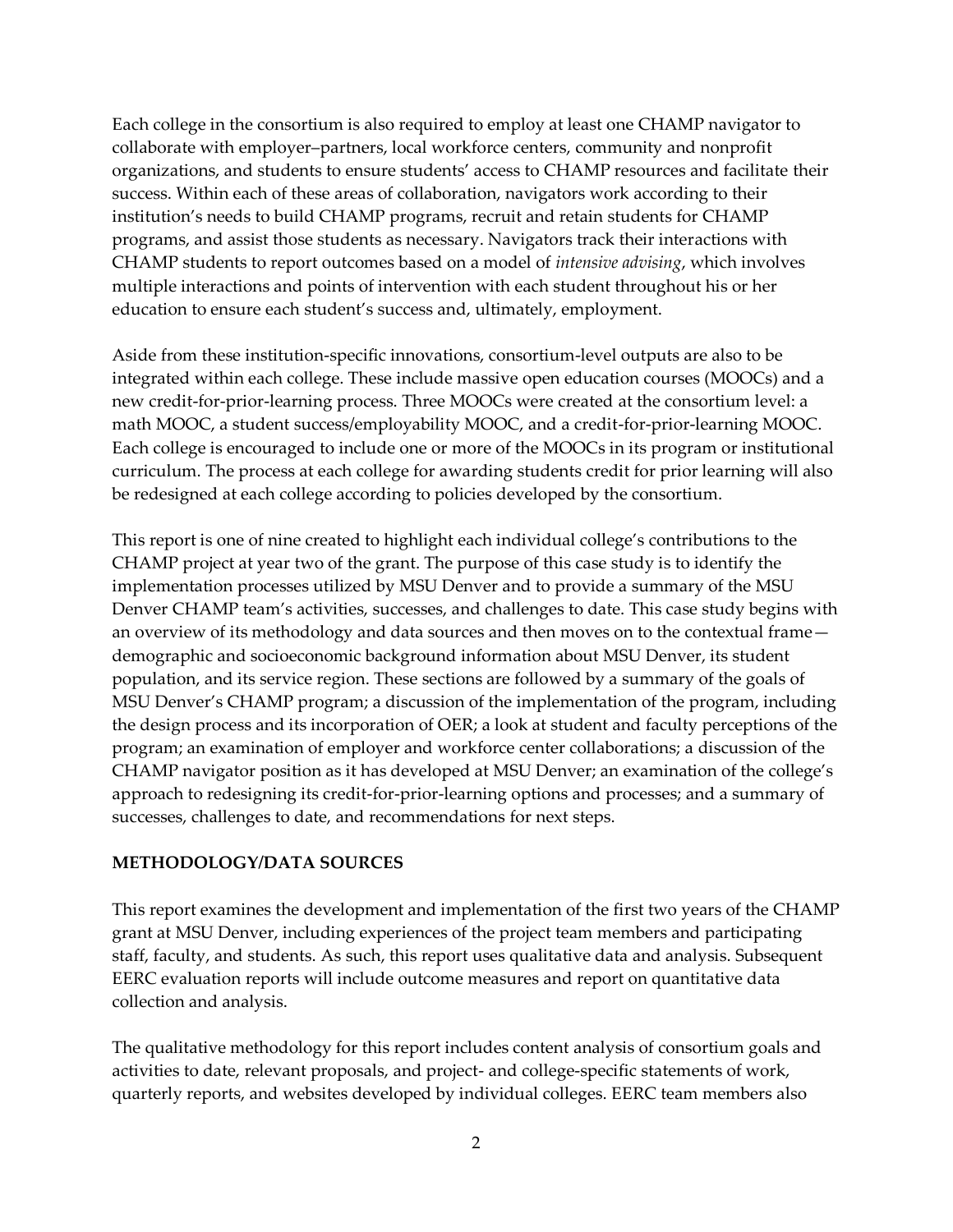Each college in the consortium is also required to employ at least one CHAMP navigator to collaborate with employer–partners, local workforce centers, community and nonprofit organizations, and students to ensure students' access to CHAMP resources and facilitate their success. Within each of these areas of collaboration, navigators work according to their institution's needs to build CHAMP programs, recruit and retain students for CHAMP programs, and assist those students as necessary. Navigators track their interactions with CHAMP students to report outcomes based on a model of *intensive advising*, which involves multiple interactions and points of intervention with each student throughout his or her education to ensure each student's success and, ultimately, employment.

Aside from these institution-specific innovations, consortium-level outputs are also to be integrated within each college. These include massive open education courses (MOOCs) and a new credit-for-prior-learning process. Three MOOCs were created at the consortium level: a math MOOC, a student success/employability MOOC, and a credit-for-prior-learning MOOC. Each college is encouraged to include one or more of the MOOCs in its program or institutional curriculum. The process at each college for awarding students credit for prior learning will also be redesigned at each college according to policies developed by the consortium.

This report is one of nine created to highlight each individual college's contributions to the CHAMP project at year two of the grant. The purpose of this case study is to identify the implementation processes utilized by MSU Denver and to provide a summary of the MSU Denver CHAMP team's activities, successes, and challenges to date. This case study begins with an overview of its methodology and data sources and then moves on to the contextual frame demographic and socioeconomic background information about MSU Denver, its student population, and its service region. These sections are followed by a summary of the goals of MSU Denver's CHAMP program; a discussion of the implementation of the program, including the design process and its incorporation of OER; a look at student and faculty perceptions of the program; an examination of employer and workforce center collaborations; a discussion of the CHAMP navigator position as it has developed at MSU Denver; an examination of the college's approach to redesigning its credit-for-prior-learning options and processes; and a summary of successes, challenges to date, and recommendations for next steps.

#### **METHODOLOGY/DATA SOURCES**

This report examines the development and implementation of the first two years of the CHAMP grant at MSU Denver, including experiences of the project team members and participating staff, faculty, and students. As such, this report uses qualitative data and analysis. Subsequent EERC evaluation reports will include outcome measures and report on quantitative data collection and analysis.

The qualitative methodology for this report includes content analysis of consortium goals and activities to date, relevant proposals, and project- and college-specific statements of work, quarterly reports, and websites developed by individual colleges. EERC team members also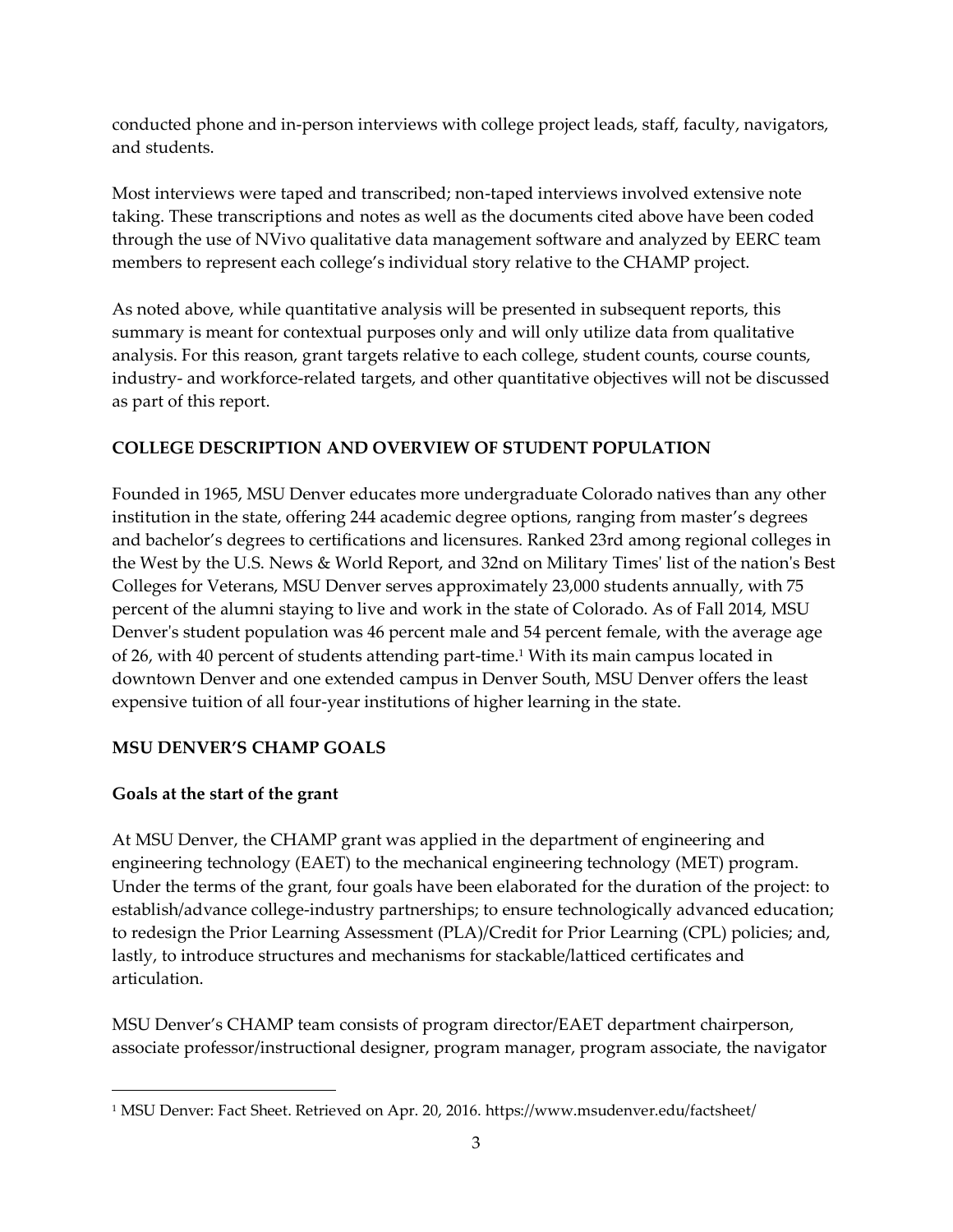conducted phone and in-person interviews with college project leads, staff, faculty, navigators, and students.

Most interviews were taped and transcribed; non-taped interviews involved extensive note taking. These transcriptions and notes as well as the documents cited above have been coded through the use of NVivo qualitative data management software and analyzed by EERC team members to represent each college's individual story relative to the CHAMP project.

As noted above, while quantitative analysis will be presented in subsequent reports, this summary is meant for contextual purposes only and will only utilize data from qualitative analysis. For this reason, grant targets relative to each college, student counts, course counts, industry- and workforce-related targets, and other quantitative objectives will not be discussed as part of this report.

#### **COLLEGE DESCRIPTION AND OVERVIEW OF STUDENT POPULATION**

Founded in 1965, MSU Denver educates more undergraduate Colorado natives than any other institution in the state, offering 244 academic degree options, ranging from master's degrees and bachelor's degrees to certifications and licensures. Ranked 23rd among regional colleges in the West by the U.S. News & World Report, and 32nd on Military Times' list of the nation's Best Colleges for Veterans, MSU Denver serves approximately 23,000 students annually, with 75 percent of the alumni staying to live and work in the state of Colorado. As of Fall 2014, MSU Denver's student population was 46 percent male and 54 percent female, with the average age of 26, with 40 percent of students attending part-time.<sup>1</sup> With its main campus located in downtown Denver and one extended campus in Denver South, MSU Denver offers the least expensive tuition of all four-year institutions of higher learning in the state.

#### **MSU DENVER'S CHAMP GOALS**

#### **Goals at the start of the grant**

1

At MSU Denver, the CHAMP grant was applied in the department of engineering and engineering technology (EAET) to the mechanical engineering technology (MET) program. Under the terms of the grant, four goals have been elaborated for the duration of the project: to establish/advance college-industry partnerships; to ensure technologically advanced education; to redesign the Prior Learning Assessment (PLA)/Credit for Prior Learning (CPL) policies; and, lastly, to introduce structures and mechanisms for stackable/latticed certificates and articulation.

MSU Denver's CHAMP team consists of program director/EAET department chairperson, associate professor/instructional designer, program manager, program associate, the navigator

<sup>1</sup> MSU Denver: Fact Sheet. Retrieved on Apr. 20, 2016. https://www.msudenver.edu/factsheet/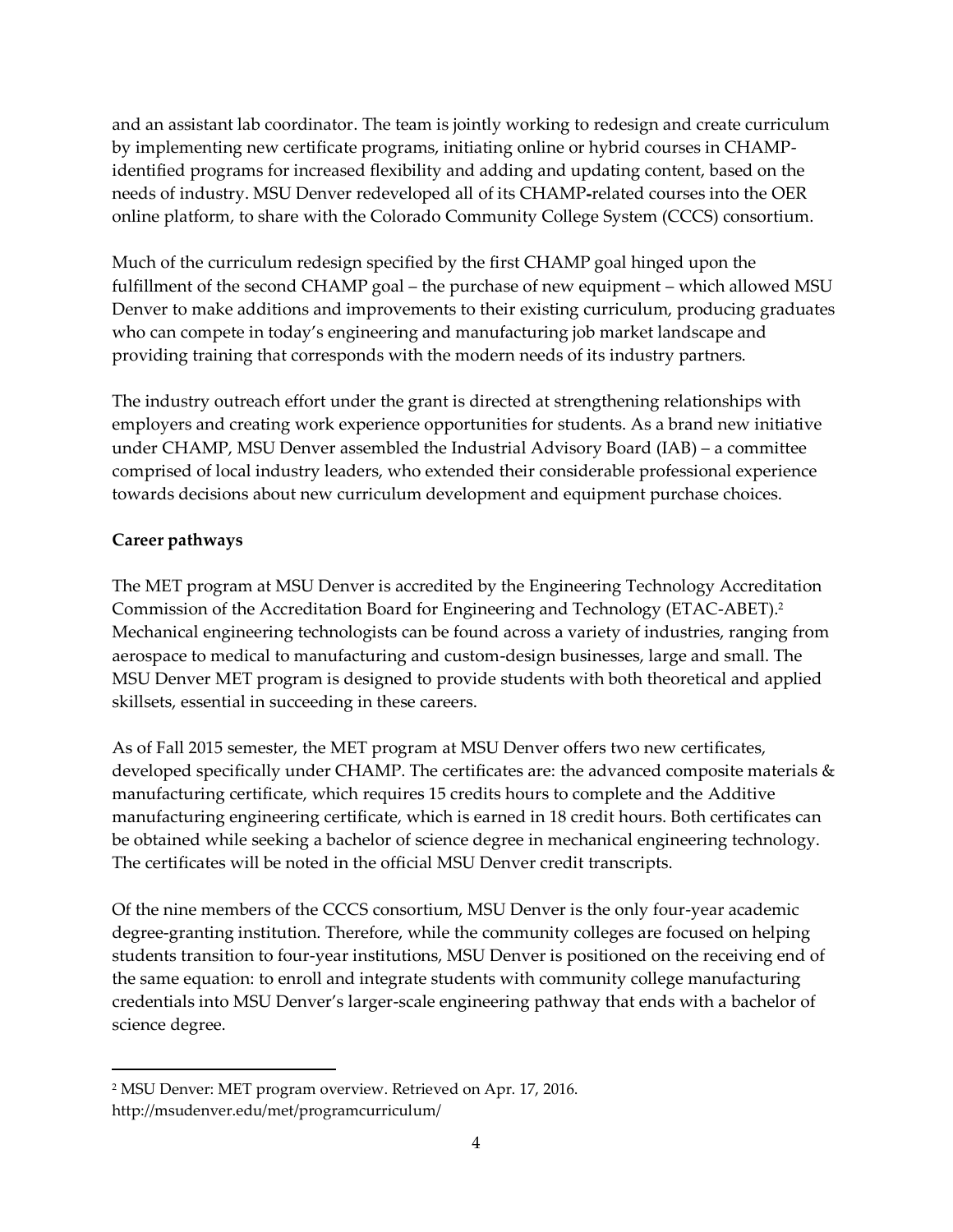and an assistant lab coordinator. The team is jointly working to redesign and create curriculum by implementing new certificate programs, initiating online or hybrid courses in CHAMPidentified programs for increased flexibility and adding and updating content, based on the needs of industry. MSU Denver redeveloped all of its CHAMP-related courses into the OER online platform, to share with the Colorado Community College System (CCCS) consortium.

Much of the curriculum redesign specified by the first CHAMP goal hinged upon the fulfillment of the second CHAMP goal – the purchase of new equipment – which allowed MSU Denver to make additions and improvements to their existing curriculum, producing graduates who can compete in today's engineering and manufacturing job market landscape and providing training that corresponds with the modern needs of its industry partners.

The industry outreach effort under the grant is directed at strengthening relationships with employers and creating work experience opportunities for students. As a brand new initiative under CHAMP, MSU Denver assembled the Industrial Advisory Board (IAB) – a committee comprised of local industry leaders, who extended their considerable professional experience towards decisions about new curriculum development and equipment purchase choices.

#### **Career pathways**

 $\overline{a}$ 

The MET program at MSU Denver is accredited by the Engineering Technology Accreditation Commission of the Accreditation Board for Engineering and Technology (ETAC-ABET).<sup>2</sup> Mechanical engineering technologists can be found across a variety of industries, ranging from aerospace to medical to manufacturing and custom-design businesses, large and small. The MSU Denver MET program is designed to provide students with both theoretical and applied skillsets, essential in succeeding in these careers.

As of Fall 2015 semester, the MET program at MSU Denver offers two new certificates, developed specifically under CHAMP. The certificates are: the advanced composite materials & manufacturing certificate, which requires 15 credits hours to complete and the Additive manufacturing engineering certificate, which is earned in 18 credit hours. Both certificates can be obtained while seeking a bachelor of science degree in mechanical engineering technology. The certificates will be noted in the official MSU Denver credit transcripts.

Of the nine members of the CCCS consortium, MSU Denver is the only four-year academic degree-granting institution. Therefore, while the community colleges are focused on helping students transition to four-year institutions, MSU Denver is positioned on the receiving end of the same equation: to enroll and integrate students with community college manufacturing credentials into MSU Denver's larger-scale engineering pathway that ends with a bachelor of science degree.

<sup>2</sup> MSU Denver: MET program overview. Retrieved on Apr. 17, 2016. http://msudenver.edu/met/programcurriculum/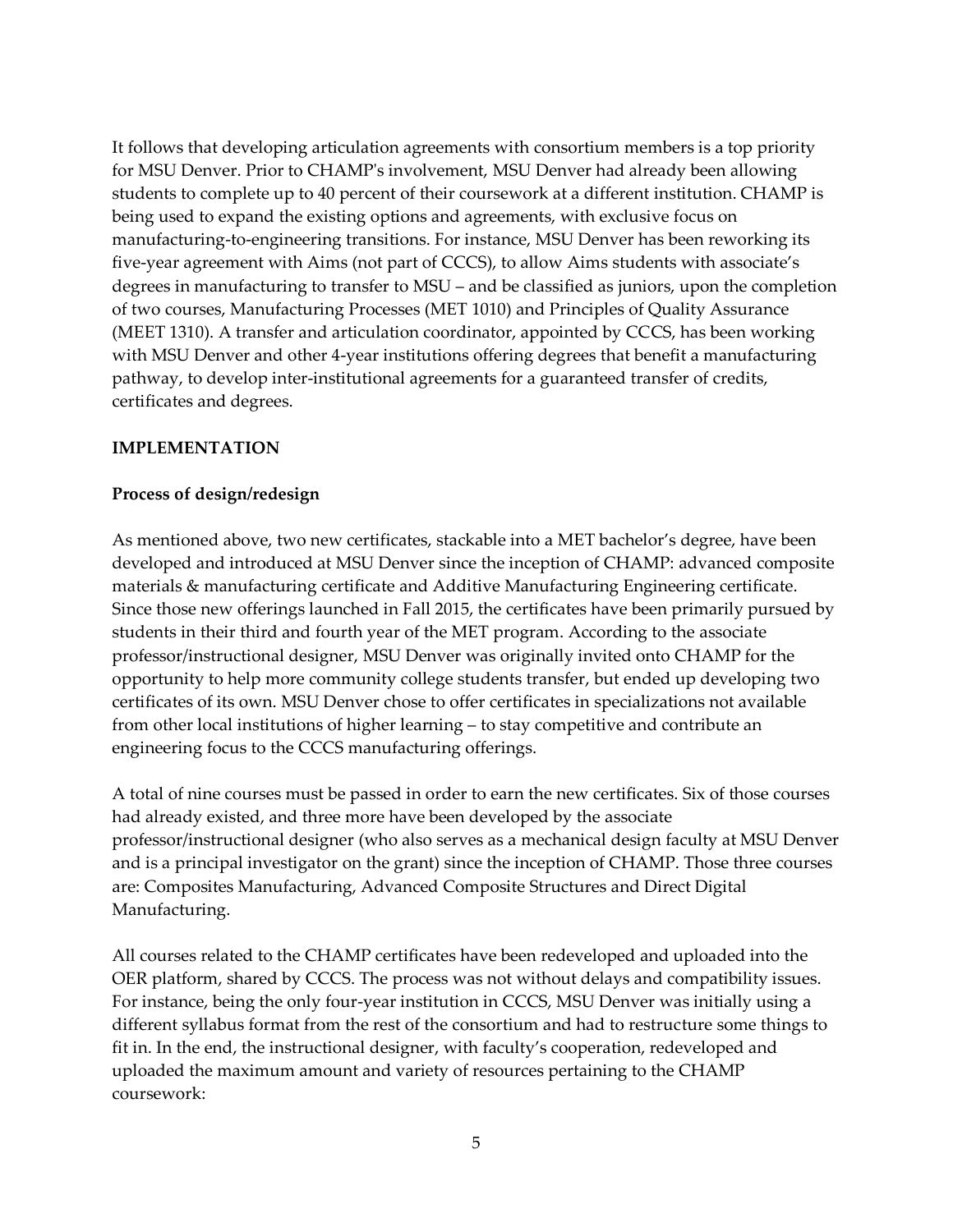It follows that developing articulation agreements with consortium members is a top priority for MSU Denver. Prior to CHAMP's involvement, MSU Denver had already been allowing students to complete up to 40 percent of their coursework at a different institution. CHAMP is being used to expand the existing options and agreements, with exclusive focus on manufacturing-to-engineering transitions. For instance, MSU Denver has been reworking its five-year agreement with Aims (not part of CCCS), to allow Aims students with associate's degrees in manufacturing to transfer to MSU – and be classified as juniors, upon the completion of two courses, Manufacturing Processes (MET 1010) and Principles of Quality Assurance (MEET 1310). A transfer and articulation coordinator, appointed by CCCS, has been working with MSU Denver and other 4-year institutions offering degrees that benefit a manufacturing pathway, to develop inter-institutional agreements for a guaranteed transfer of credits, certificates and degrees.

#### **IMPLEMENTATION**

#### **Process of design/redesign**

As mentioned above, two new certificates, stackable into a MET bachelor's degree, have been developed and introduced at MSU Denver since the inception of CHAMP: advanced composite materials & manufacturing certificate and Additive Manufacturing Engineering certificate. Since those new offerings launched in Fall 2015, the certificates have been primarily pursued by students in their third and fourth year of the MET program. According to the associate professor/instructional designer, MSU Denver was originally invited onto CHAMP for the opportunity to help more community college students transfer, but ended up developing two certificates of its own. MSU Denver chose to offer certificates in specializations not available from other local institutions of higher learning – to stay competitive and contribute an engineering focus to the CCCS manufacturing offerings.

A total of nine courses must be passed in order to earn the new certificates. Six of those courses had already existed, and three more have been developed by the associate professor/instructional designer (who also serves as a mechanical design faculty at MSU Denver and is a principal investigator on the grant) since the inception of CHAMP. Those three courses are: Composites Manufacturing, Advanced Composite Structures and Direct Digital Manufacturing.

All courses related to the CHAMP certificates have been redeveloped and uploaded into the OER platform, shared by CCCS. The process was not without delays and compatibility issues. For instance, being the only four-year institution in CCCS, MSU Denver was initially using a different syllabus format from the rest of the consortium and had to restructure some things to fit in. In the end, the instructional designer, with faculty's cooperation, redeveloped and uploaded the maximum amount and variety of resources pertaining to the CHAMP coursework: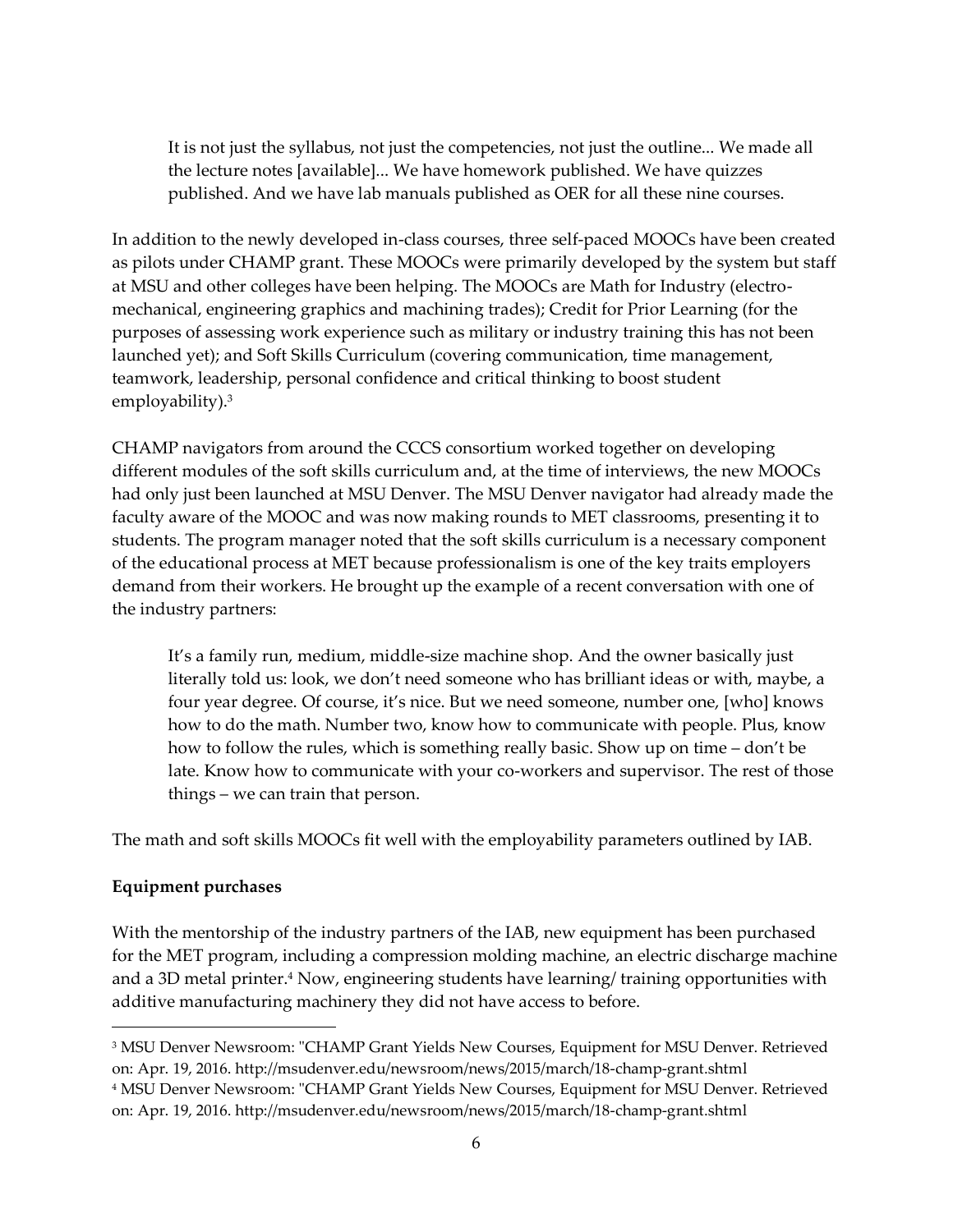It is not just the syllabus, not just the competencies, not just the outline... We made all the lecture notes [available]... We have homework published. We have quizzes published. And we have lab manuals published as OER for all these nine courses.

In addition to the newly developed in-class courses, three self-paced MOOCs have been created as pilots under CHAMP grant. These MOOCs were primarily developed by the system but staff at MSU and other colleges have been helping. The MOOCs are Math for Industry (electromechanical, engineering graphics and machining trades); Credit for Prior Learning (for the purposes of assessing work experience such as military or industry training this has not been launched yet); and Soft Skills Curriculum (covering communication, time management, teamwork, leadership, personal confidence and critical thinking to boost student employability).<sup>3</sup>

CHAMP navigators from around the CCCS consortium worked together on developing different modules of the soft skills curriculum and, at the time of interviews, the new MOOCs had only just been launched at MSU Denver. The MSU Denver navigator had already made the faculty aware of the MOOC and was now making rounds to MET classrooms, presenting it to students. The program manager noted that the soft skills curriculum is a necessary component of the educational process at MET because professionalism is one of the key traits employers demand from their workers. He brought up the example of a recent conversation with one of the industry partners:

It's a family run, medium, middle-size machine shop. And the owner basically just literally told us: look, we don't need someone who has brilliant ideas or with, maybe, a four year degree. Of course, it's nice. But we need someone, number one, [who] knows how to do the math. Number two, know how to communicate with people. Plus, know how to follow the rules, which is something really basic. Show up on time – don't be late. Know how to communicate with your co-workers and supervisor. The rest of those things – we can train that person.

The math and soft skills MOOCs fit well with the employability parameters outlined by IAB.

#### **Equipment purchases**

 $\overline{a}$ 

With the mentorship of the industry partners of the IAB, new equipment has been purchased for the MET program, including a compression molding machine, an electric discharge machine and a 3D metal printer.<sup>4</sup> Now, engineering students have learning/ training opportunities with additive manufacturing machinery they did not have access to before.

<sup>&</sup>lt;sup>3</sup> MSU Denver Newsroom: "CHAMP Grant Yields New Courses, Equipment for MSU Denver. Retrieved on: Apr. 19, 2016. http://msudenver.edu/newsroom/news/2015/march/18-champ-grant.shtml <sup>4</sup> MSU Denver Newsroom: "CHAMP Grant Yields New Courses, Equipment for MSU Denver. Retrieved on: Apr. 19, 2016. http://msudenver.edu/newsroom/news/2015/march/18-champ-grant.shtml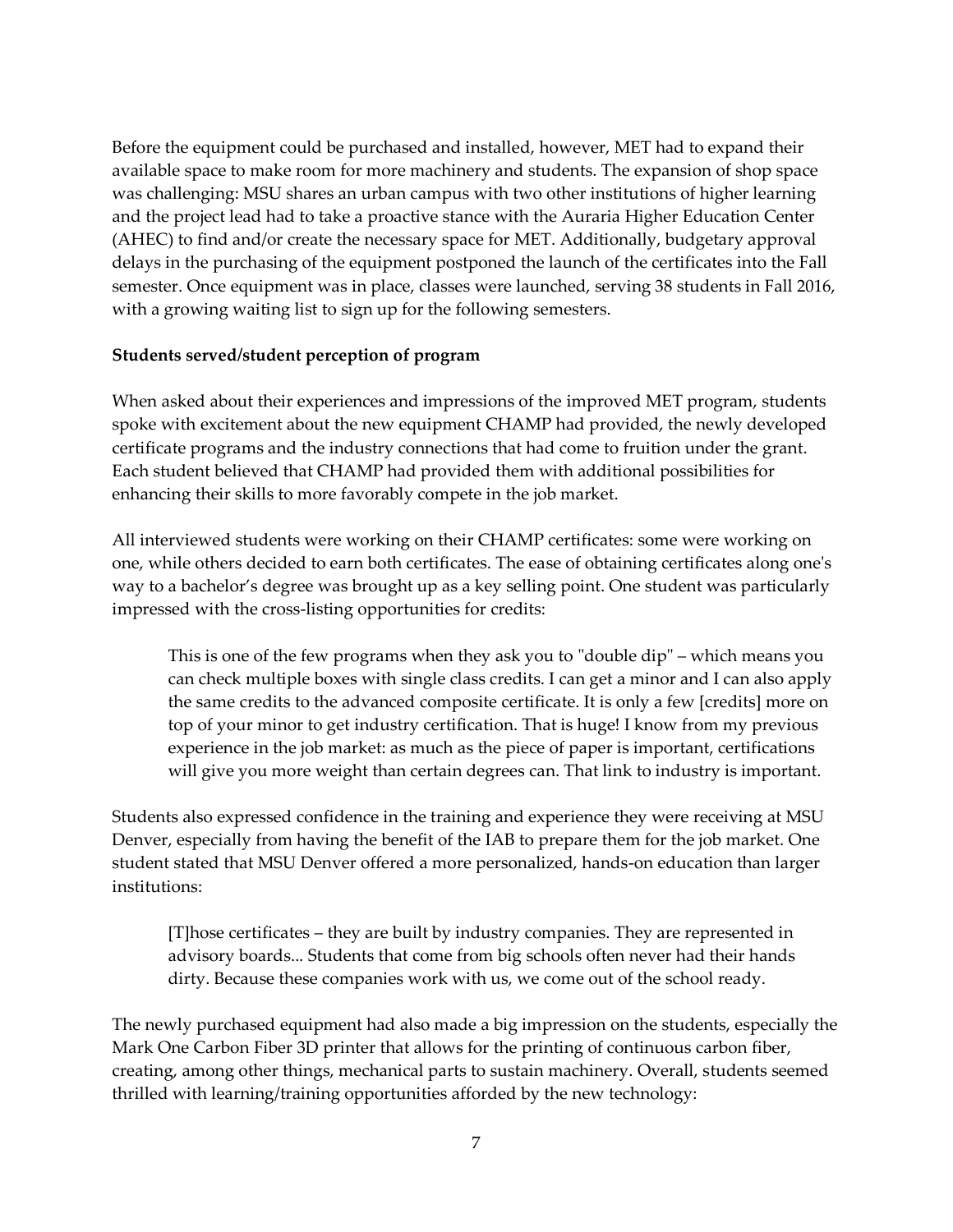Before the equipment could be purchased and installed, however, MET had to expand their available space to make room for more machinery and students. The expansion of shop space was challenging: MSU shares an urban campus with two other institutions of higher learning and the project lead had to take a proactive stance with the Auraria Higher Education Center (AHEC) to find and/or create the necessary space for MET. Additionally, budgetary approval delays in the purchasing of the equipment postponed the launch of the certificates into the Fall semester. Once equipment was in place, classes were launched, serving 38 students in Fall 2016, with a growing waiting list to sign up for the following semesters.

#### **Students served/student perception of program**

When asked about their experiences and impressions of the improved MET program, students spoke with excitement about the new equipment CHAMP had provided, the newly developed certificate programs and the industry connections that had come to fruition under the grant. Each student believed that CHAMP had provided them with additional possibilities for enhancing their skills to more favorably compete in the job market.

All interviewed students were working on their CHAMP certificates: some were working on one, while others decided to earn both certificates. The ease of obtaining certificates along one's way to a bachelor's degree was brought up as a key selling point. One student was particularly impressed with the cross-listing opportunities for credits:

This is one of the few programs when they ask you to "double dip" – which means you can check multiple boxes with single class credits. I can get a minor and I can also apply the same credits to the advanced composite certificate. It is only a few [credits] more on top of your minor to get industry certification. That is huge! I know from my previous experience in the job market: as much as the piece of paper is important, certifications will give you more weight than certain degrees can. That link to industry is important.

Students also expressed confidence in the training and experience they were receiving at MSU Denver, especially from having the benefit of the IAB to prepare them for the job market. One student stated that MSU Denver offered a more personalized, hands-on education than larger institutions:

[T]hose certificates – they are built by industry companies. They are represented in advisory boards... Students that come from big schools often never had their hands dirty. Because these companies work with us, we come out of the school ready.

The newly purchased equipment had also made a big impression on the students, especially the Mark One Carbon Fiber 3D printer that allows for the printing of continuous carbon fiber, creating, among other things, mechanical parts to sustain machinery. Overall, students seemed thrilled with learning/training opportunities afforded by the new technology: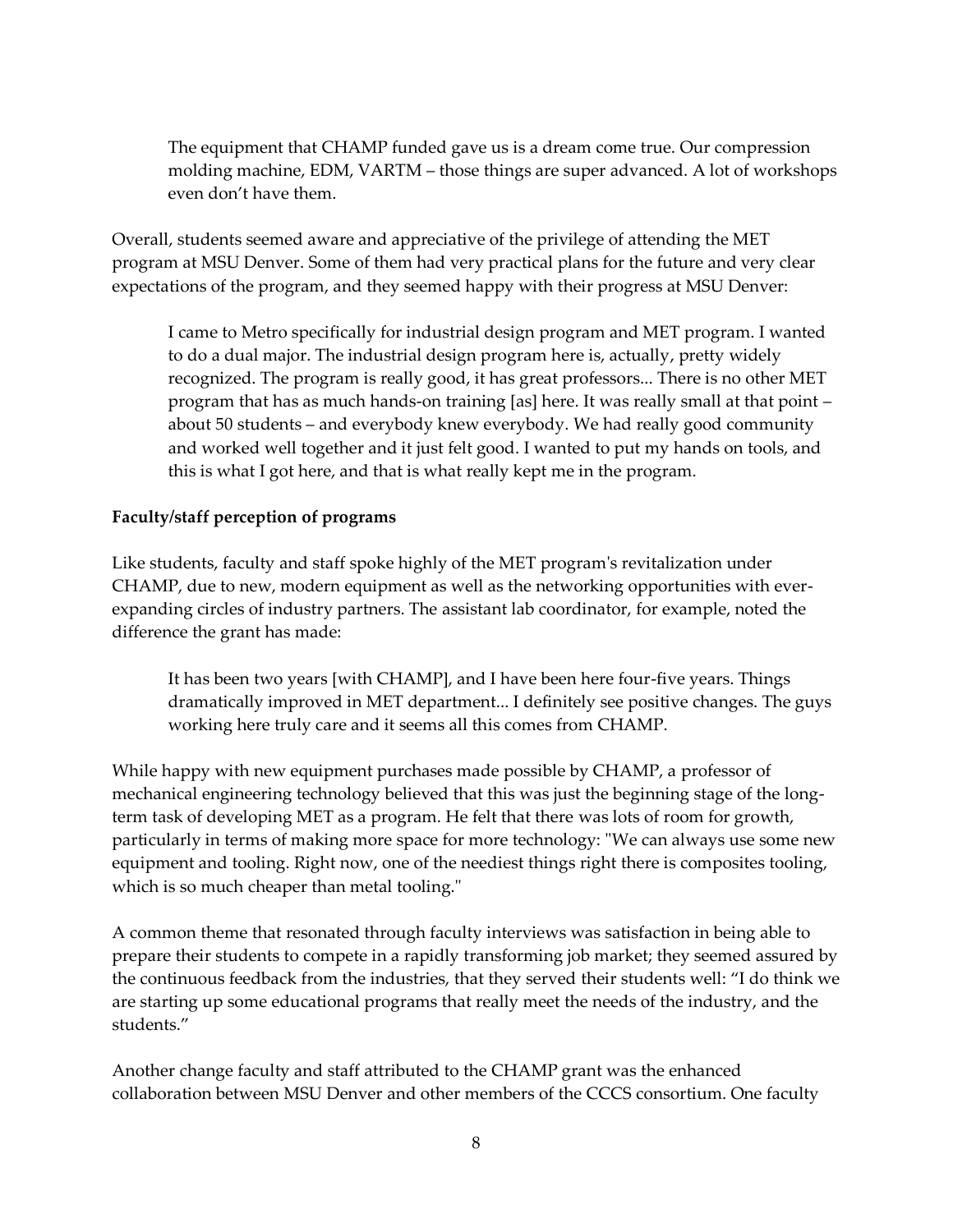The equipment that CHAMP funded gave us is a dream come true. Our compression molding machine, EDM, VARTM – those things are super advanced. A lot of workshops even don't have them.

Overall, students seemed aware and appreciative of the privilege of attending the MET program at MSU Denver. Some of them had very practical plans for the future and very clear expectations of the program, and they seemed happy with their progress at MSU Denver:

I came to Metro specifically for industrial design program and MET program. I wanted to do a dual major. The industrial design program here is, actually, pretty widely recognized. The program is really good, it has great professors... There is no other MET program that has as much hands-on training [as] here. It was really small at that point – about 50 students – and everybody knew everybody. We had really good community and worked well together and it just felt good. I wanted to put my hands on tools, and this is what I got here, and that is what really kept me in the program.

#### **Faculty/staff perception of programs**

Like students, faculty and staff spoke highly of the MET program's revitalization under CHAMP, due to new, modern equipment as well as the networking opportunities with everexpanding circles of industry partners. The assistant lab coordinator, for example, noted the difference the grant has made:

It has been two years [with CHAMP], and I have been here four-five years. Things dramatically improved in MET department... I definitely see positive changes. The guys working here truly care and it seems all this comes from CHAMP.

While happy with new equipment purchases made possible by CHAMP, a professor of mechanical engineering technology believed that this was just the beginning stage of the longterm task of developing MET as a program. He felt that there was lots of room for growth, particularly in terms of making more space for more technology: "We can always use some new equipment and tooling. Right now, one of the neediest things right there is composites tooling, which is so much cheaper than metal tooling."

A common theme that resonated through faculty interviews was satisfaction in being able to prepare their students to compete in a rapidly transforming job market; they seemed assured by the continuous feedback from the industries, that they served their students well: "I do think we are starting up some educational programs that really meet the needs of the industry, and the students."

Another change faculty and staff attributed to the CHAMP grant was the enhanced collaboration between MSU Denver and other members of the CCCS consortium. One faculty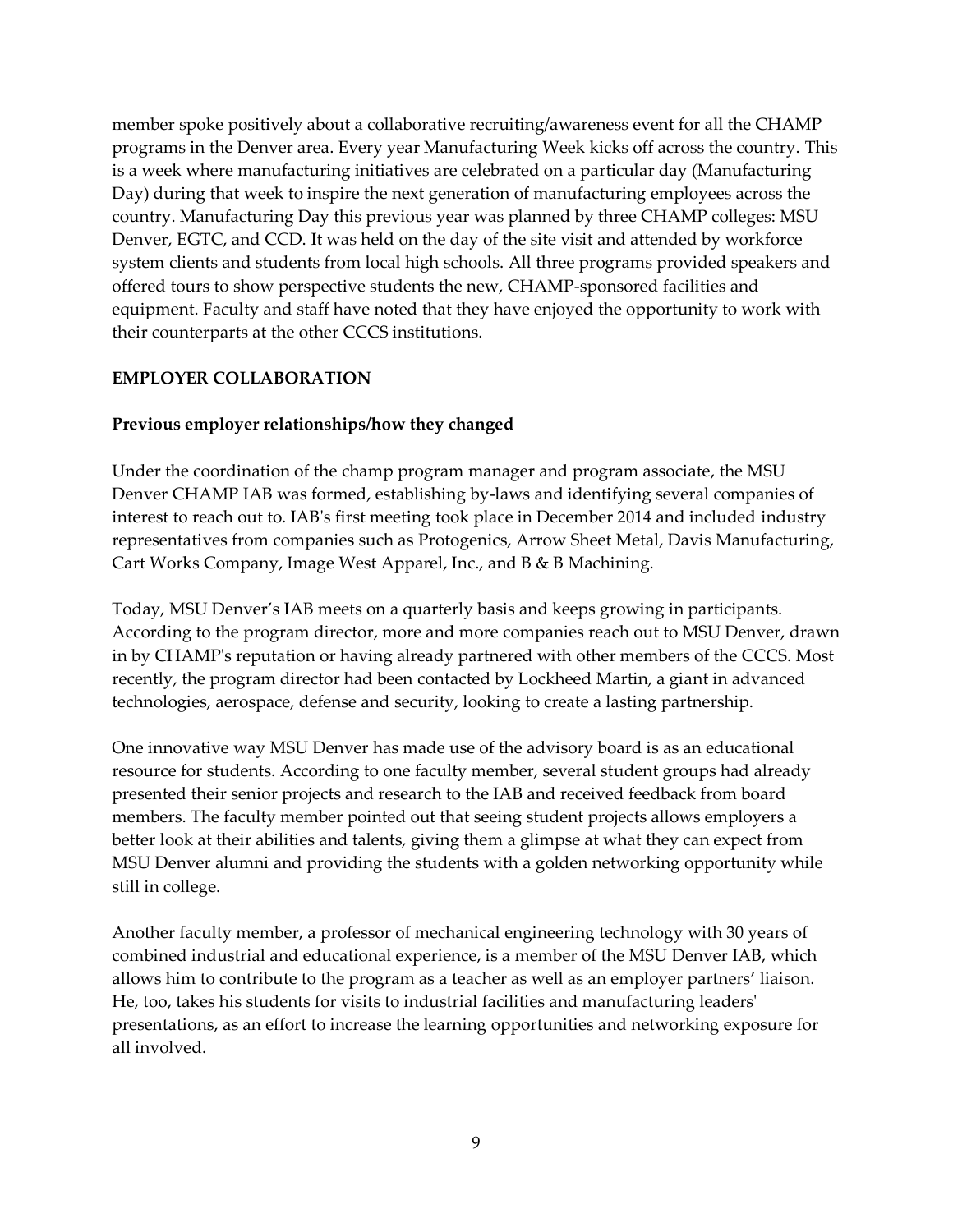member spoke positively about a collaborative recruiting/awareness event for all the CHAMP programs in the Denver area. Every year Manufacturing Week kicks off across the country. This is a week where manufacturing initiatives are celebrated on a particular day (Manufacturing Day) during that week to inspire the next generation of manufacturing employees across the country. Manufacturing Day this previous year was planned by three CHAMP colleges: MSU Denver, EGTC, and CCD. It was held on the day of the site visit and attended by workforce system clients and students from local high schools. All three programs provided speakers and offered tours to show perspective students the new, CHAMP-sponsored facilities and equipment. Faculty and staff have noted that they have enjoyed the opportunity to work with their counterparts at the other CCCS institutions.

#### **EMPLOYER COLLABORATION**

#### **Previous employer relationships/how they changed**

Under the coordination of the champ program manager and program associate, the MSU Denver CHAMP IAB was formed, establishing by-laws and identifying several companies of interest to reach out to. IAB's first meeting took place in December 2014 and included industry representatives from companies such as Protogenics, Arrow Sheet Metal, Davis Manufacturing, Cart Works Company, Image West Apparel, Inc., and B & B Machining.

Today, MSU Denver's IAB meets on a quarterly basis and keeps growing in participants. According to the program director, more and more companies reach out to MSU Denver, drawn in by CHAMP's reputation or having already partnered with other members of the CCCS. Most recently, the program director had been contacted by Lockheed Martin, a giant in advanced technologies, aerospace, defense and security, looking to create a lasting partnership.

One innovative way MSU Denver has made use of the advisory board is as an educational resource for students. According to one faculty member, several student groups had already presented their senior projects and research to the IAB and received feedback from board members. The faculty member pointed out that seeing student projects allows employers a better look at their abilities and talents, giving them a glimpse at what they can expect from MSU Denver alumni and providing the students with a golden networking opportunity while still in college.

Another faculty member, a professor of mechanical engineering technology with 30 years of combined industrial and educational experience, is a member of the MSU Denver IAB, which allows him to contribute to the program as a teacher as well as an employer partners' liaison. He, too, takes his students for visits to industrial facilities and manufacturing leaders' presentations, as an effort to increase the learning opportunities and networking exposure for all involved.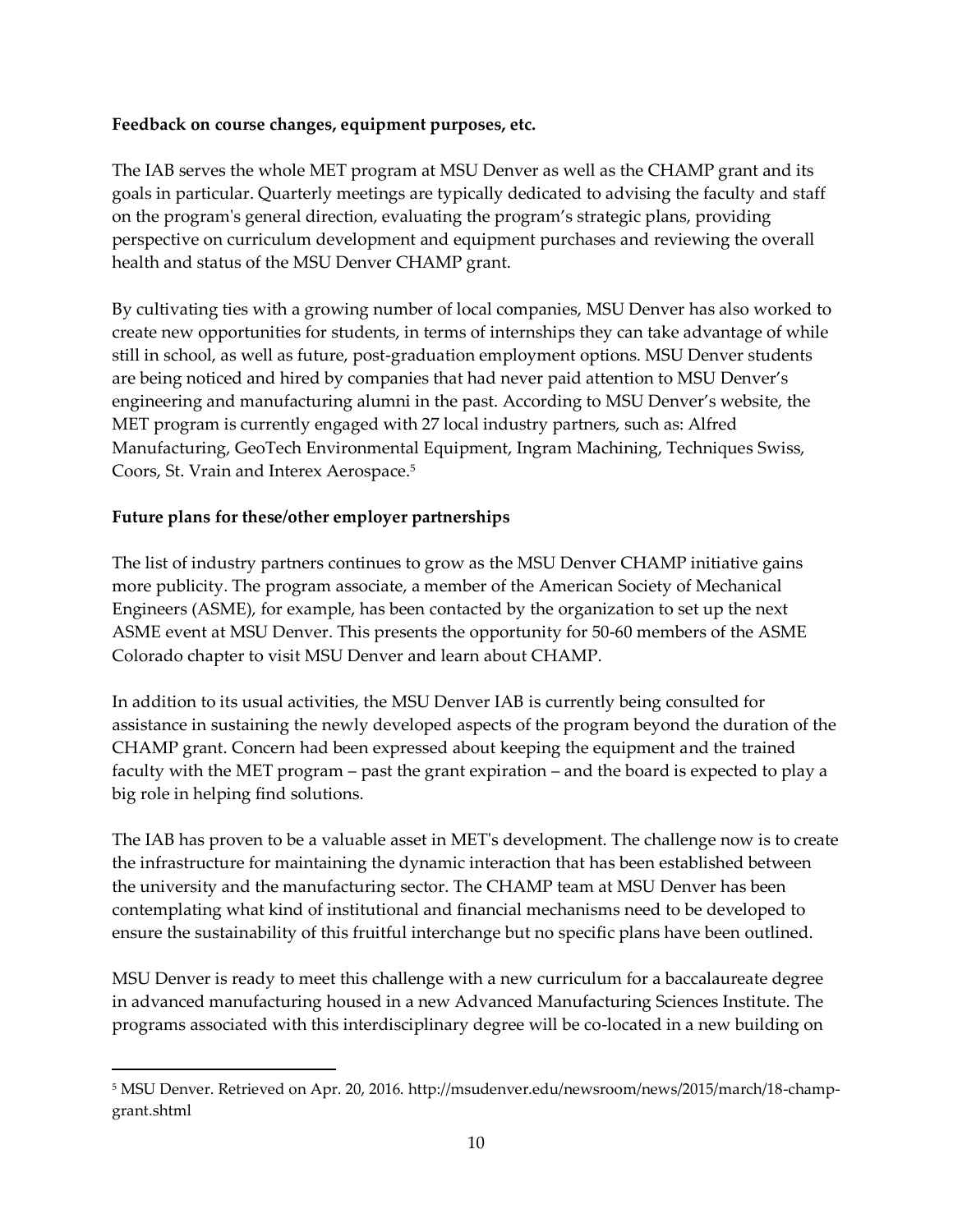#### **Feedback on course changes, equipment purposes, etc.**

The IAB serves the whole MET program at MSU Denver as well as the CHAMP grant and its goals in particular. Quarterly meetings are typically dedicated to advising the faculty and staff on the program's general direction, evaluating the program's strategic plans, providing perspective on curriculum development and equipment purchases and reviewing the overall health and status of the MSU Denver CHAMP grant.

By cultivating ties with a growing number of local companies, MSU Denver has also worked to create new opportunities for students, in terms of internships they can take advantage of while still in school, as well as future, post-graduation employment options. MSU Denver students are being noticed and hired by companies that had never paid attention to MSU Denver's engineering and manufacturing alumni in the past. According to MSU Denver's website, the MET program is currently engaged with 27 local industry partners, such as: Alfred Manufacturing, GeoTech Environmental Equipment, Ingram Machining, Techniques Swiss, Coors, St. Vrain and Interex Aerospace.<sup>5</sup>

#### **Future plans for these/other employer partnerships**

 $\overline{a}$ 

The list of industry partners continues to grow as the MSU Denver CHAMP initiative gains more publicity. The program associate, a member of the American Society of Mechanical Engineers (ASME), for example, has been contacted by the organization to set up the next ASME event at MSU Denver. This presents the opportunity for 50-60 members of the ASME Colorado chapter to visit MSU Denver and learn about CHAMP.

In addition to its usual activities, the MSU Denver IAB is currently being consulted for assistance in sustaining the newly developed aspects of the program beyond the duration of the CHAMP grant. Concern had been expressed about keeping the equipment and the trained faculty with the MET program – past the grant expiration – and the board is expected to play a big role in helping find solutions.

The IAB has proven to be a valuable asset in MET's development. The challenge now is to create the infrastructure for maintaining the dynamic interaction that has been established between the university and the manufacturing sector. The CHAMP team at MSU Denver has been contemplating what kind of institutional and financial mechanisms need to be developed to ensure the sustainability of this fruitful interchange but no specific plans have been outlined.

MSU Denver is ready to meet this challenge with a new curriculum for a baccalaureate degree in advanced manufacturing housed in a new Advanced Manufacturing Sciences Institute. The programs associated with this interdisciplinary degree will be co-located in a new building on

<sup>5</sup> MSU Denver. Retrieved on Apr. 20, 2016. http://msudenver.edu/newsroom/news/2015/march/18-champgrant.shtml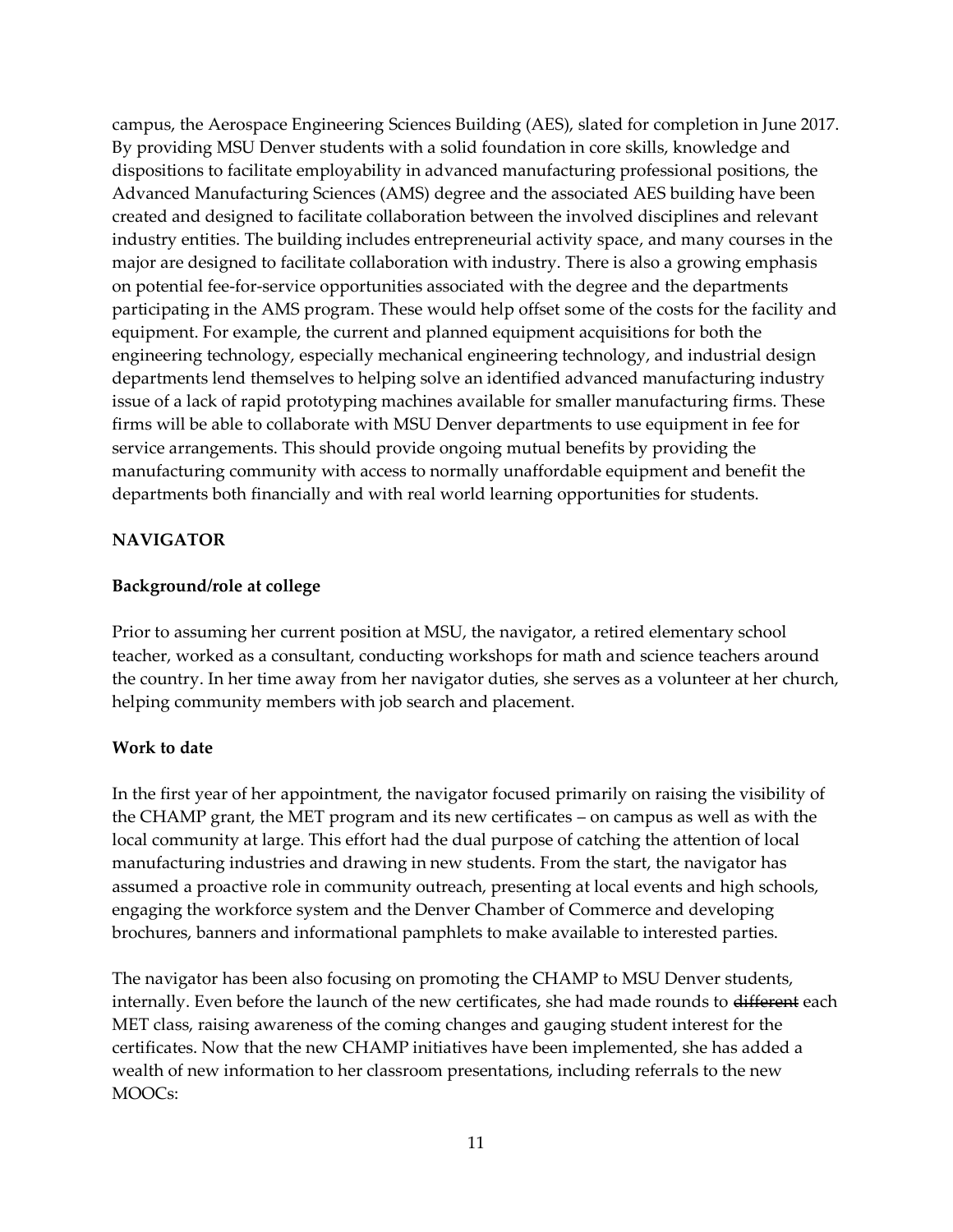campus, the Aerospace Engineering Sciences Building (AES), slated for completion in June 2017. By providing MSU Denver students with a solid foundation in core skills, knowledge and dispositions to facilitate employability in advanced manufacturing professional positions, the Advanced Manufacturing Sciences (AMS) degree and the associated AES building have been created and designed to facilitate collaboration between the involved disciplines and relevant industry entities. The building includes entrepreneurial activity space, and many courses in the major are designed to facilitate collaboration with industry. There is also a growing emphasis on potential fee-for-service opportunities associated with the degree and the departments participating in the AMS program. These would help offset some of the costs for the facility and equipment. For example, the current and planned equipment acquisitions for both the engineering technology, especially mechanical engineering technology, and industrial design departments lend themselves to helping solve an identified advanced manufacturing industry issue of a lack of rapid prototyping machines available for smaller manufacturing firms. These firms will be able to collaborate with MSU Denver departments to use equipment in fee for service arrangements. This should provide ongoing mutual benefits by providing the manufacturing community with access to normally unaffordable equipment and benefit the departments both financially and with real world learning opportunities for students.

#### **NAVIGATOR**

#### **Background/role at college**

Prior to assuming her current position at MSU, the navigator, a retired elementary school teacher, worked as a consultant, conducting workshops for math and science teachers around the country. In her time away from her navigator duties, she serves as a volunteer at her church, helping community members with job search and placement.

#### **Work to date**

In the first year of her appointment, the navigator focused primarily on raising the visibility of the CHAMP grant, the MET program and its new certificates – on campus as well as with the local community at large. This effort had the dual purpose of catching the attention of local manufacturing industries and drawing in new students. From the start, the navigator has assumed a proactive role in community outreach, presenting at local events and high schools, engaging the workforce system and the Denver Chamber of Commerce and developing brochures, banners and informational pamphlets to make available to interested parties.

The navigator has been also focusing on promoting the CHAMP to MSU Denver students, internally. Even before the launch of the new certificates, she had made rounds to different each MET class, raising awareness of the coming changes and gauging student interest for the certificates. Now that the new CHAMP initiatives have been implemented, she has added a wealth of new information to her classroom presentations, including referrals to the new MOOCs: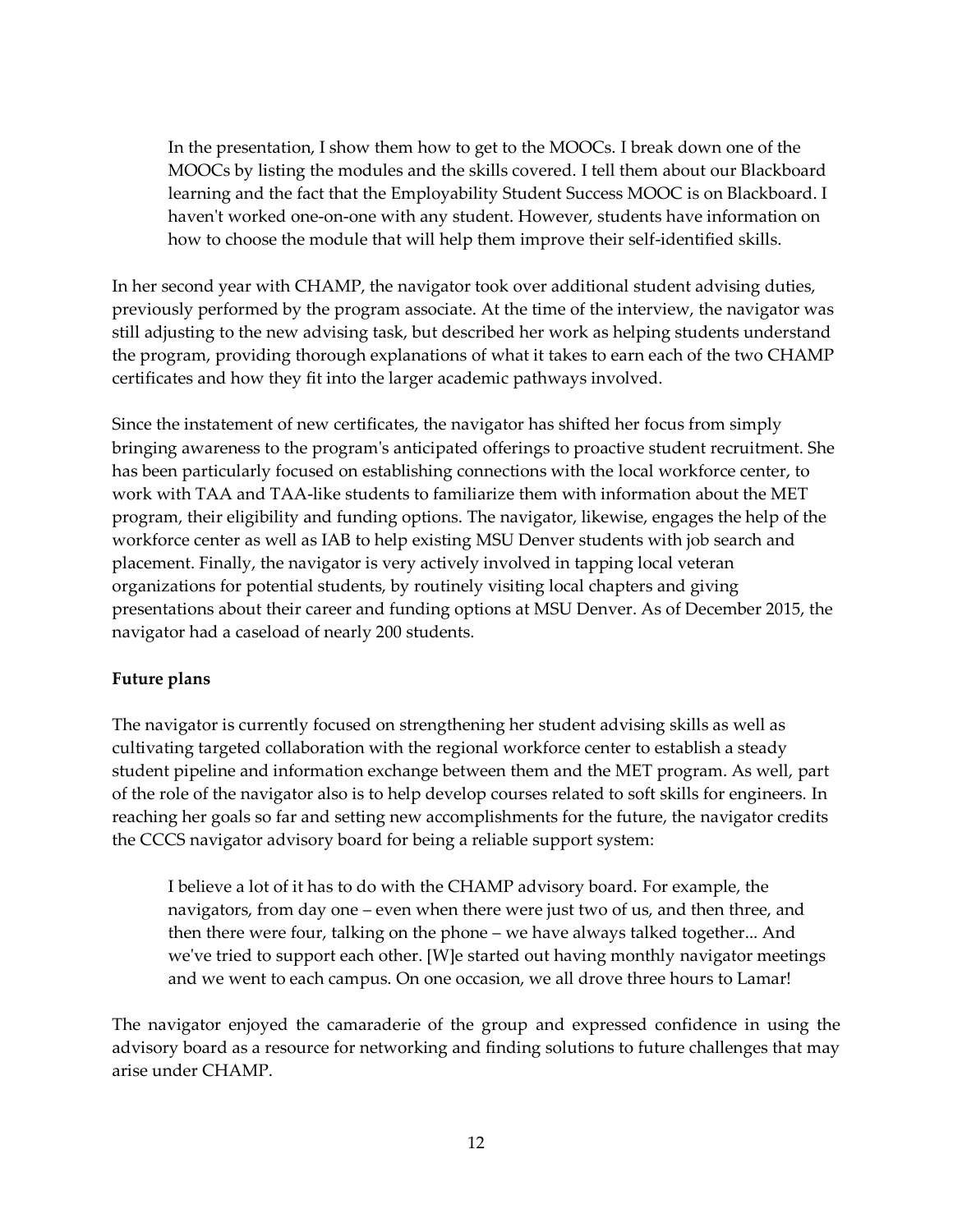In the presentation, I show them how to get to the MOOCs. I break down one of the MOOCs by listing the modules and the skills covered. I tell them about our Blackboard learning and the fact that the Employability Student Success MOOC is on Blackboard. I haven't worked one-on-one with any student. However, students have information on how to choose the module that will help them improve their self-identified skills.

In her second year with CHAMP, the navigator took over additional student advising duties, previously performed by the program associate. At the time of the interview, the navigator was still adjusting to the new advising task, but described her work as helping students understand the program, providing thorough explanations of what it takes to earn each of the two CHAMP certificates and how they fit into the larger academic pathways involved.

Since the instatement of new certificates, the navigator has shifted her focus from simply bringing awareness to the program's anticipated offerings to proactive student recruitment. She has been particularly focused on establishing connections with the local workforce center, to work with TAA and TAA-like students to familiarize them with information about the MET program, their eligibility and funding options. The navigator, likewise, engages the help of the workforce center as well as IAB to help existing MSU Denver students with job search and placement. Finally, the navigator is very actively involved in tapping local veteran organizations for potential students, by routinely visiting local chapters and giving presentations about their career and funding options at MSU Denver. As of December 2015, the navigator had a caseload of nearly 200 students.

#### **Future plans**

The navigator is currently focused on strengthening her student advising skills as well as cultivating targeted collaboration with the regional workforce center to establish a steady student pipeline and information exchange between them and the MET program. As well, part of the role of the navigator also is to help develop courses related to soft skills for engineers. In reaching her goals so far and setting new accomplishments for the future, the navigator credits the CCCS navigator advisory board for being a reliable support system:

I believe a lot of it has to do with the CHAMP advisory board. For example, the navigators, from day one – even when there were just two of us, and then three, and then there were four, talking on the phone – we have always talked together... And we've tried to support each other. [W]e started out having monthly navigator meetings and we went to each campus. On one occasion, we all drove three hours to Lamar!

The navigator enjoyed the camaraderie of the group and expressed confidence in using the advisory board as a resource for networking and finding solutions to future challenges that may arise under CHAMP.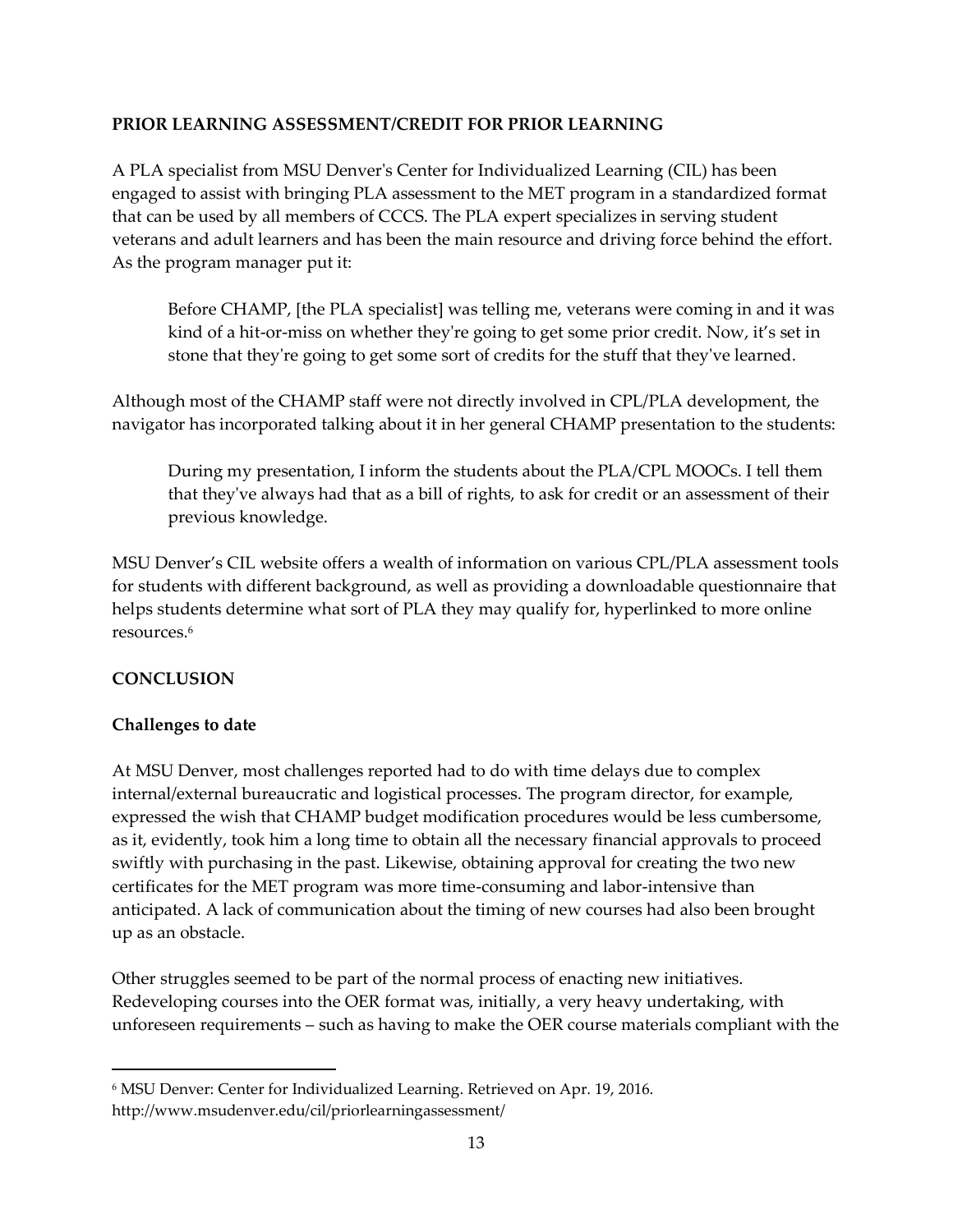#### **PRIOR LEARNING ASSESSMENT/CREDIT FOR PRIOR LEARNING**

A PLA specialist from MSU Denver's Center for Individualized Learning (CIL) has been engaged to assist with bringing PLA assessment to the MET program in a standardized format that can be used by all members of CCCS. The PLA expert specializes in serving student veterans and adult learners and has been the main resource and driving force behind the effort. As the program manager put it:

Before CHAMP, [the PLA specialist] was telling me, veterans were coming in and it was kind of a hit-or-miss on whether they're going to get some prior credit. Now, it's set in stone that they're going to get some sort of credits for the stuff that they've learned.

Although most of the CHAMP staff were not directly involved in CPL/PLA development, the navigator has incorporated talking about it in her general CHAMP presentation to the students:

During my presentation, I inform the students about the PLA/CPL MOOCs. I tell them that they've always had that as a bill of rights, to ask for credit or an assessment of their previous knowledge.

MSU Denver's CIL website offers a wealth of information on various CPL/PLA assessment tools for students with different background, as well as providing a downloadable questionnaire that helps students determine what sort of PLA they may qualify for, hyperlinked to more online resources. 6

#### **CONCLUSION**

 $\overline{a}$ 

#### **Challenges to date**

At MSU Denver, most challenges reported had to do with time delays due to complex internal/external bureaucratic and logistical processes. The program director, for example, expressed the wish that CHAMP budget modification procedures would be less cumbersome, as it, evidently, took him a long time to obtain all the necessary financial approvals to proceed swiftly with purchasing in the past. Likewise, obtaining approval for creating the two new certificates for the MET program was more time-consuming and labor-intensive than anticipated. A lack of communication about the timing of new courses had also been brought up as an obstacle.

Other struggles seemed to be part of the normal process of enacting new initiatives. Redeveloping courses into the OER format was, initially, a very heavy undertaking, with unforeseen requirements – such as having to make the OER course materials compliant with the

<sup>6</sup> MSU Denver: Center for Individualized Learning. Retrieved on Apr. 19, 2016. http://www.msudenver.edu/cil/priorlearningassessment/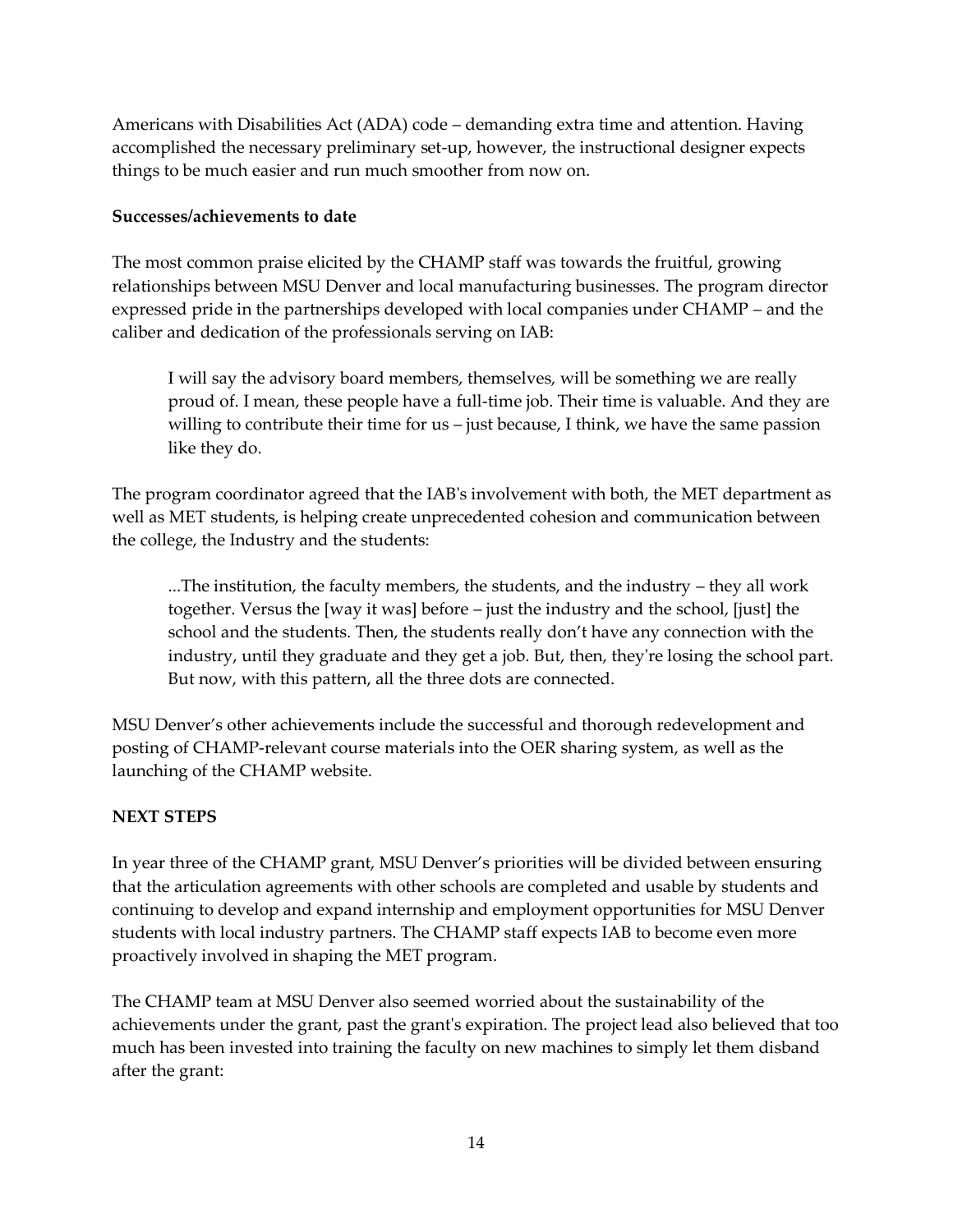Americans with Disabilities Act (ADA) code – demanding extra time and attention. Having accomplished the necessary preliminary set-up, however, the instructional designer expects things to be much easier and run much smoother from now on.

#### **Successes/achievements to date**

The most common praise elicited by the CHAMP staff was towards the fruitful, growing relationships between MSU Denver and local manufacturing businesses. The program director expressed pride in the partnerships developed with local companies under CHAMP – and the caliber and dedication of the professionals serving on IAB:

I will say the advisory board members, themselves, will be something we are really proud of. I mean, these people have a full-time job. Their time is valuable. And they are willing to contribute their time for us – just because, I think, we have the same passion like they do.

The program coordinator agreed that the IAB's involvement with both, the MET department as well as MET students, is helping create unprecedented cohesion and communication between the college, the Industry and the students:

...The institution, the faculty members, the students, and the industry – they all work together. Versus the [way it was] before – just the industry and the school, [just] the school and the students. Then, the students really don't have any connection with the industry, until they graduate and they get a job. But, then, they're losing the school part. But now, with this pattern, all the three dots are connected.

MSU Denver's other achievements include the successful and thorough redevelopment and posting of CHAMP-relevant course materials into the OER sharing system, as well as the launching of the CHAMP website.

#### **NEXT STEPS**

In year three of the CHAMP grant, MSU Denver's priorities will be divided between ensuring that the articulation agreements with other schools are completed and usable by students and continuing to develop and expand internship and employment opportunities for MSU Denver students with local industry partners. The CHAMP staff expects IAB to become even more proactively involved in shaping the MET program.

The CHAMP team at MSU Denver also seemed worried about the sustainability of the achievements under the grant, past the grant's expiration. The project lead also believed that too much has been invested into training the faculty on new machines to simply let them disband after the grant: